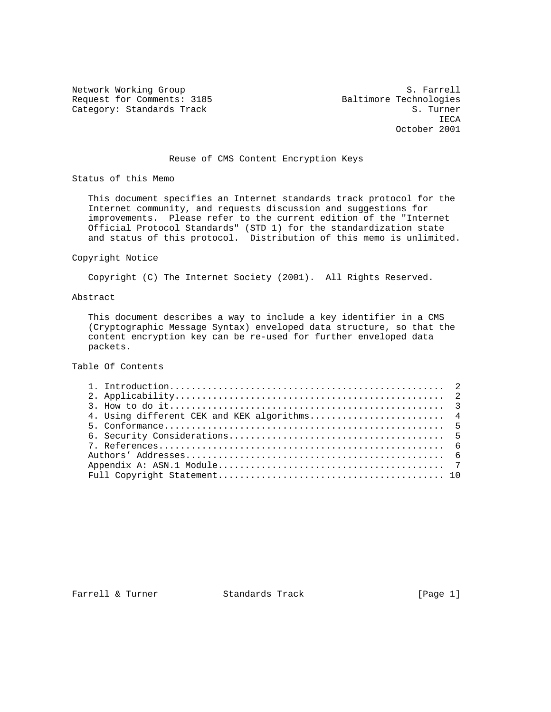Network Working Group S. Farrell Request for Comments: 3185 Baltimore Technologies<br>Category: Standards Track Baltimore Technologies Category: Standards Track

**IECA** October 2001

# Reuse of CMS Content Encryption Keys

Status of this Memo

 This document specifies an Internet standards track protocol for the Internet community, and requests discussion and suggestions for improvements. Please refer to the current edition of the "Internet Official Protocol Standards" (STD 1) for the standardization state and status of this protocol. Distribution of this memo is unlimited.

## Copyright Notice

Copyright (C) The Internet Society (2001). All Rights Reserved.

## Abstract

 This document describes a way to include a key identifier in a CMS (Cryptographic Message Syntax) enveloped data structure, so that the content encryption key can be re-used for further enveloped data packets.

# Table Of Contents

| 4. Using different CEK and KEK algorithms 4 |
|---------------------------------------------|
|                                             |
|                                             |
|                                             |
|                                             |
|                                             |
|                                             |

Farrell & Turner Standards Track [Page 1]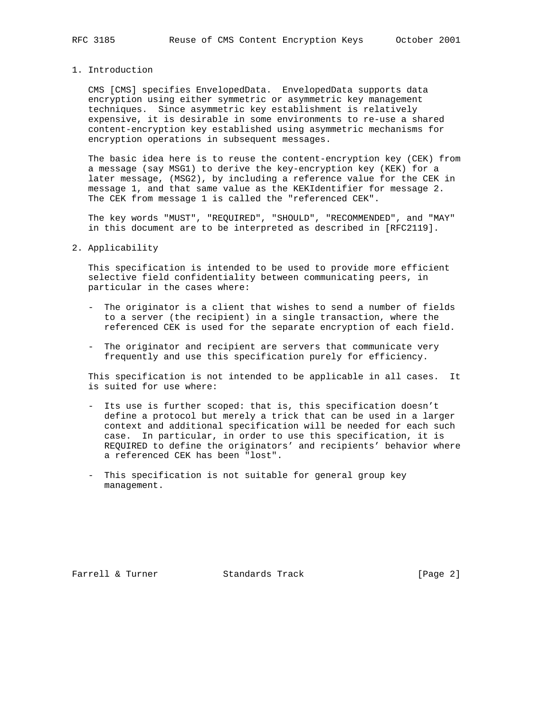# 1. Introduction

 CMS [CMS] specifies EnvelopedData. EnvelopedData supports data encryption using either symmetric or asymmetric key management techniques. Since asymmetric key establishment is relatively expensive, it is desirable in some environments to re-use a shared content-encryption key established using asymmetric mechanisms for encryption operations in subsequent messages.

 The basic idea here is to reuse the content-encryption key (CEK) from a message (say MSG1) to derive the key-encryption key (KEK) for a later message, (MSG2), by including a reference value for the CEK in message 1, and that same value as the KEKIdentifier for message 2. The CEK from message 1 is called the "referenced CEK".

 The key words "MUST", "REQUIRED", "SHOULD", "RECOMMENDED", and "MAY" in this document are to be interpreted as described in [RFC2119].

#### 2. Applicability

 This specification is intended to be used to provide more efficient selective field confidentiality between communicating peers, in particular in the cases where:

- The originator is a client that wishes to send a number of fields to a server (the recipient) in a single transaction, where the referenced CEK is used for the separate encryption of each field.
- The originator and recipient are servers that communicate very frequently and use this specification purely for efficiency.

 This specification is not intended to be applicable in all cases. It is suited for use where:

- Its use is further scoped: that is, this specification doesn't define a protocol but merely a trick that can be used in a larger context and additional specification will be needed for each such case. In particular, in order to use this specification, it is REQUIRED to define the originators' and recipients' behavior where a referenced CEK has been "lost".
- This specification is not suitable for general group key management.

Farrell & Turner Standards Track [Page 2]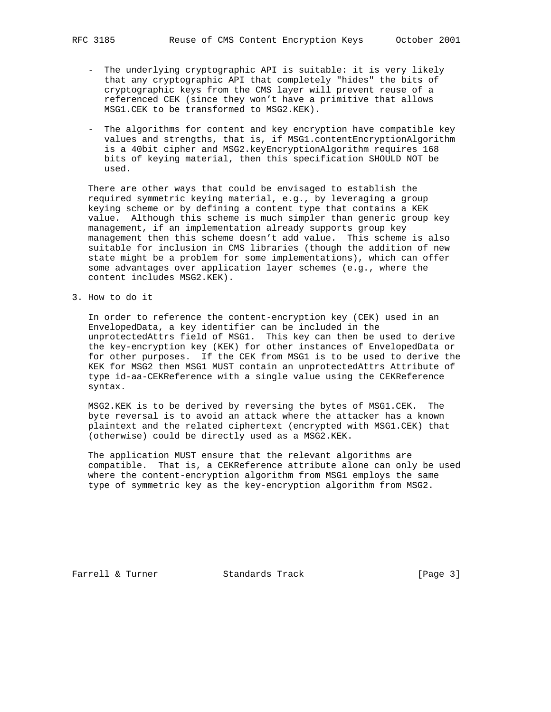- The underlying cryptographic API is suitable: it is very likely that any cryptographic API that completely "hides" the bits of cryptographic keys from the CMS layer will prevent reuse of a referenced CEK (since they won't have a primitive that allows MSG1.CEK to be transformed to MSG2.KEK).
- The algorithms for content and key encryption have compatible key values and strengths, that is, if MSG1.contentEncryptionAlgorithm is a 40bit cipher and MSG2.keyEncryptionAlgorithm requires 168 bits of keying material, then this specification SHOULD NOT be used.

 There are other ways that could be envisaged to establish the required symmetric keying material, e.g., by leveraging a group keying scheme or by defining a content type that contains a KEK value. Although this scheme is much simpler than generic group key management, if an implementation already supports group key management then this scheme doesn't add value. This scheme is also suitable for inclusion in CMS libraries (though the addition of new state might be a problem for some implementations), which can offer some advantages over application layer schemes (e.g., where the content includes MSG2.KEK).

3. How to do it

 In order to reference the content-encryption key (CEK) used in an EnvelopedData, a key identifier can be included in the unprotectedAttrs field of MSG1. This key can then be used to derive the key-encryption key (KEK) for other instances of EnvelopedData or for other purposes. If the CEK from MSG1 is to be used to derive the KEK for MSG2 then MSG1 MUST contain an unprotectedAttrs Attribute of type id-aa-CEKReference with a single value using the CEKReference syntax.

 MSG2.KEK is to be derived by reversing the bytes of MSG1.CEK. The byte reversal is to avoid an attack where the attacker has a known plaintext and the related ciphertext (encrypted with MSG1.CEK) that (otherwise) could be directly used as a MSG2.KEK.

 The application MUST ensure that the relevant algorithms are compatible. That is, a CEKReference attribute alone can only be used where the content-encryption algorithm from MSG1 employs the same type of symmetric key as the key-encryption algorithm from MSG2.

Farrell & Turner Standards Track [Page 3]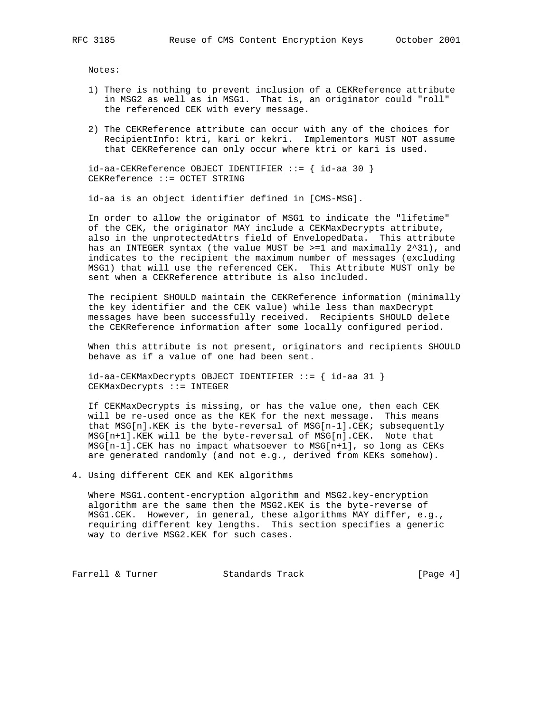Notes:

- 1) There is nothing to prevent inclusion of a CEKReference attribute in MSG2 as well as in MSG1. That is, an originator could "roll" the referenced CEK with every message.
- 2) The CEKReference attribute can occur with any of the choices for RecipientInfo: ktri, kari or kekri. Implementors MUST NOT assume that CEKReference can only occur where ktri or kari is used.

 $id$ -aa-CEKReference OBJECT IDENTIFIER ::= {  $id$ -aa 30 } CEKReference ::= OCTET STRING

id-aa is an object identifier defined in [CMS-MSG].

 In order to allow the originator of MSG1 to indicate the "lifetime" of the CEK, the originator MAY include a CEKMaxDecrypts attribute, also in the unprotectedAttrs field of EnvelopedData. This attribute has an INTEGER syntax (the value MUST be  $>=1$  and maximally  $2^2$ 31), and indicates to the recipient the maximum number of messages (excluding MSG1) that will use the referenced CEK. This Attribute MUST only be sent when a CEKReference attribute is also included.

 The recipient SHOULD maintain the CEKReference information (minimally the key identifier and the CEK value) while less than maxDecrypt messages have been successfully received. Recipients SHOULD delete the CEKReference information after some locally configured period.

 When this attribute is not present, originators and recipients SHOULD behave as if a value of one had been sent.

 id-aa-CEKMaxDecrypts OBJECT IDENTIFIER ::= { id-aa 31 } CEKMaxDecrypts ::= INTEGER

 If CEKMaxDecrypts is missing, or has the value one, then each CEK will be re-used once as the KEK for the next message. This means that MSG[n].KEK is the byte-reversal of MSG[n-1].CEK; subsequently MSG[n+1].KEK will be the byte-reversal of MSG[n].CEK. Note that MSG[n-1].CEK has no impact whatsoever to MSG[n+1], so long as CEKs are generated randomly (and not e.g., derived from KEKs somehow).

4. Using different CEK and KEK algorithms

 Where MSG1.content-encryption algorithm and MSG2.key-encryption algorithm are the same then the MSG2.KEK is the byte-reverse of MSG1.CEK. However, in general, these algorithms MAY differ, e.g., requiring different key lengths. This section specifies a generic way to derive MSG2.KEK for such cases.

Farrell & Turner Standards Track [Page 4]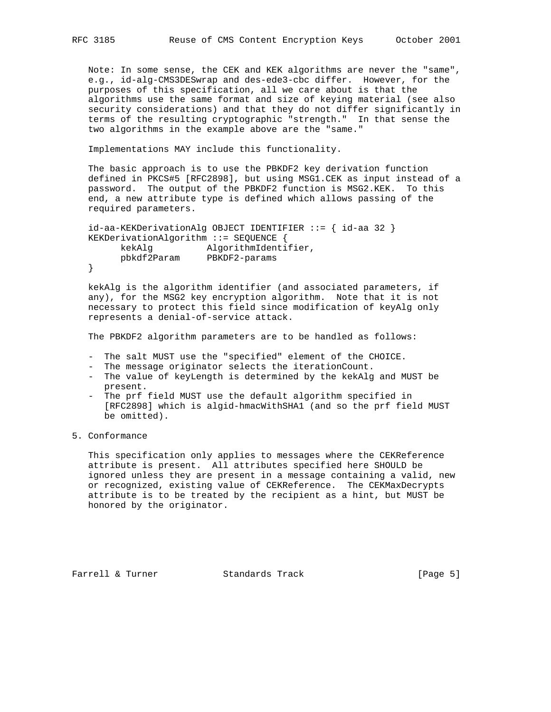Note: In some sense, the CEK and KEK algorithms are never the "same", e.g., id-alg-CMS3DESwrap and des-ede3-cbc differ. However, for the purposes of this specification, all we care about is that the algorithms use the same format and size of keying material (see also security considerations) and that they do not differ significantly in terms of the resulting cryptographic "strength." In that sense the two algorithms in the example above are the "same."

Implementations MAY include this functionality.

 The basic approach is to use the PBKDF2 key derivation function defined in PKCS#5 [RFC2898], but using MSG1.CEK as input instead of a password. The output of the PBKDF2 function is MSG2.KEK. To this end, a new attribute type is defined which allows passing of the required parameters.

```
 id-aa-KEKDerivationAlg OBJECT IDENTIFIER ::= { id-aa 32 }
KEKDerivationAlgorithm ::= SEQUENCE {
    kekAlg AlgorithmIdentifier,
     pbkdf2Param PBKDF2-params
}
```
 kekAlg is the algorithm identifier (and associated parameters, if any), for the MSG2 key encryption algorithm. Note that it is not necessary to protect this field since modification of keyAlg only represents a denial-of-service attack.

The PBKDF2 algorithm parameters are to be handled as follows:

- The salt MUST use the "specified" element of the CHOICE.
- The message originator selects the iterationCount.
- The value of keyLength is determined by the kekAlg and MUST be present.
- The prf field MUST use the default algorithm specified in [RFC2898] which is algid-hmacWithSHA1 (and so the prf field MUST be omitted).

## 5. Conformance

 This specification only applies to messages where the CEKReference attribute is present. All attributes specified here SHOULD be ignored unless they are present in a message containing a valid, new or recognized, existing value of CEKReference. The CEKMaxDecrypts attribute is to be treated by the recipient as a hint, but MUST be honored by the originator.

Farrell & Turner Standards Track [Page 5]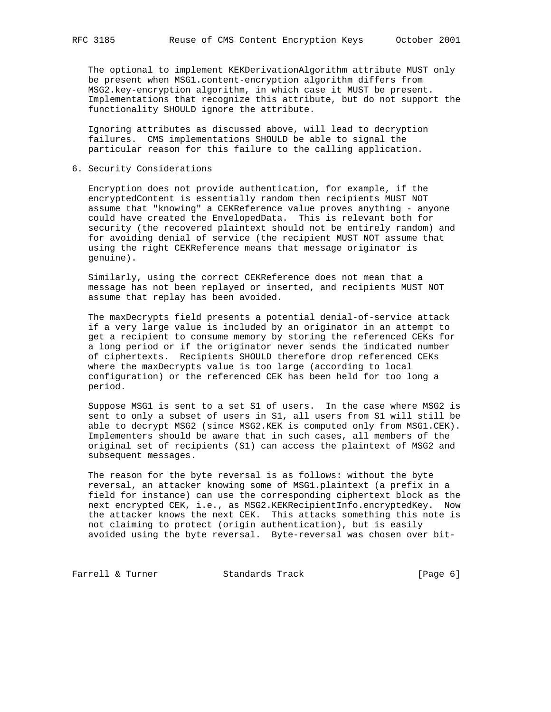The optional to implement KEKDerivationAlgorithm attribute MUST only be present when MSG1.content-encryption algorithm differs from MSG2.key-encryption algorithm, in which case it MUST be present. Implementations that recognize this attribute, but do not support the functionality SHOULD ignore the attribute.

 Ignoring attributes as discussed above, will lead to decryption failures. CMS implementations SHOULD be able to signal the particular reason for this failure to the calling application.

6. Security Considerations

 Encryption does not provide authentication, for example, if the encryptedContent is essentially random then recipients MUST NOT assume that "knowing" a CEKReference value proves anything - anyone could have created the EnvelopedData. This is relevant both for security (the recovered plaintext should not be entirely random) and for avoiding denial of service (the recipient MUST NOT assume that using the right CEKReference means that message originator is genuine).

 Similarly, using the correct CEKReference does not mean that a message has not been replayed or inserted, and recipients MUST NOT assume that replay has been avoided.

 The maxDecrypts field presents a potential denial-of-service attack if a very large value is included by an originator in an attempt to get a recipient to consume memory by storing the referenced CEKs for a long period or if the originator never sends the indicated number of ciphertexts. Recipients SHOULD therefore drop referenced CEKs where the maxDecrypts value is too large (according to local configuration) or the referenced CEK has been held for too long a period.

 Suppose MSG1 is sent to a set S1 of users. In the case where MSG2 is sent to only a subset of users in S1, all users from S1 will still be able to decrypt MSG2 (since MSG2.KEK is computed only from MSG1.CEK). Implementers should be aware that in such cases, all members of the original set of recipients (S1) can access the plaintext of MSG2 and subsequent messages.

 The reason for the byte reversal is as follows: without the byte reversal, an attacker knowing some of MSG1.plaintext (a prefix in a field for instance) can use the corresponding ciphertext block as the next encrypted CEK, i.e., as MSG2.KEKRecipientInfo.encryptedKey. Now the attacker knows the next CEK. This attacks something this note is not claiming to protect (origin authentication), but is easily avoided using the byte reversal. Byte-reversal was chosen over bit-

Farrell & Turner Standards Track [Page 6]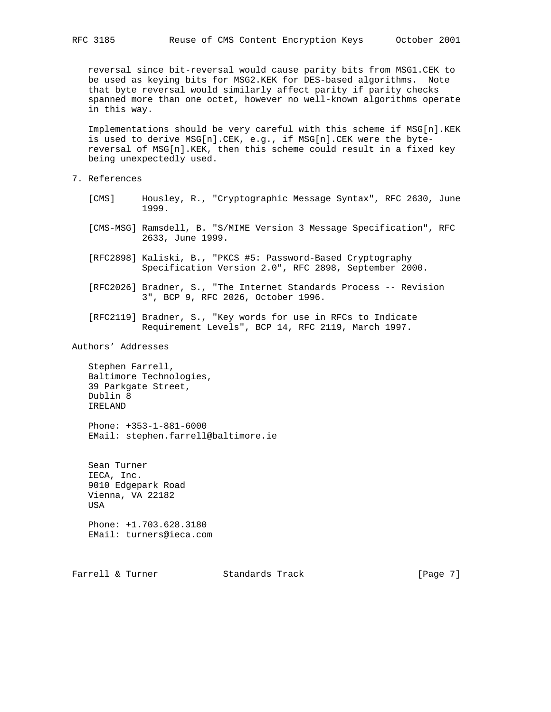reversal since bit-reversal would cause parity bits from MSG1.CEK to be used as keying bits for MSG2.KEK for DES-based algorithms. Note that byte reversal would similarly affect parity if parity checks spanned more than one octet, however no well-known algorithms operate in this way.

 Implementations should be very careful with this scheme if MSG[n].KEK is used to derive MSG[n].CEK, e.g., if MSG[n].CEK were the byte reversal of MSG[n].KEK, then this scheme could result in a fixed key being unexpectedly used.

- 7. References
	- [CMS] Housley, R., "Cryptographic Message Syntax", RFC 2630, June 1999.
	- [CMS-MSG] Ramsdell, B. "S/MIME Version 3 Message Specification", RFC 2633, June 1999.
	- [RFC2898] Kaliski, B., "PKCS #5: Password-Based Cryptography Specification Version 2.0", RFC 2898, September 2000.
	- [RFC2026] Bradner, S., "The Internet Standards Process -- Revision 3", BCP 9, RFC 2026, October 1996.
	- [RFC2119] Bradner, S., "Key words for use in RFCs to Indicate Requirement Levels", BCP 14, RFC 2119, March 1997.

Authors' Addresses

 Stephen Farrell, Baltimore Technologies, 39 Parkgate Street, Dublin 8 IRELAND

 Phone: +353-1-881-6000 EMail: stephen.farrell@baltimore.ie

 Sean Turner IECA, Inc. 9010 Edgepark Road Vienna, VA 22182 USA

 Phone: +1.703.628.3180 EMail: turners@ieca.com

Farrell & Turner Standards Track [Page 7]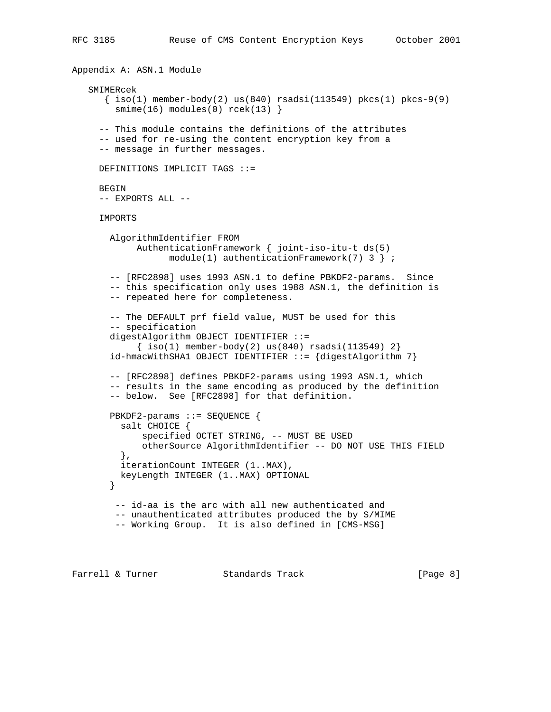```
Appendix A: ASN.1 Module
   SMIMERcek
     \{ iso(1) member-body(2) us(840) rsadsi(113549) pkcs(1) pkcs-9(9)
       smime(16) modules(0) rcek(13) }
     -- This module contains the definitions of the attributes
     -- used for re-using the content encryption key from a
     -- message in further messages.
    DEFINITIONS IMPLICIT TAGS ::=
     BEGIN
     -- EXPORTS ALL --
     IMPORTS
      AlgorithmIdentifier FROM
            AuthenticationFramework { joint-iso-itu-t ds(5)
                model(1) authenticationFramework(7) 3 } ;
       -- [RFC2898] uses 1993 ASN.1 to define PBKDF2-params. Since
       -- this specification only uses 1988 ASN.1, the definition is
       -- repeated here for completeness.
       -- The DEFAULT prf field value, MUST be used for this
       -- specification
       digestAlgorithm OBJECT IDENTIFIER ::=
           { iso(1) member-body(2) us(840) rsadsi(113549) 2 } id-hmacWithSHA1 OBJECT IDENTIFIER ::= {digestAlgorithm 7}
       -- [RFC2898] defines PBKDF2-params using 1993 ASN.1, which
       -- results in the same encoding as produced by the definition
       -- below. See [RFC2898] for that definition.
      PBKDF2-params ::= SEQUENCE {
         salt CHOICE {
             specified OCTET STRING, -- MUST BE USED
             otherSource AlgorithmIdentifier -- DO NOT USE THIS FIELD
         },
         iterationCount INTEGER (1..MAX),
         keyLength INTEGER (1..MAX) OPTIONAL
       }
        -- id-aa is the arc with all new authenticated and
        -- unauthenticated attributes produced the by S/MIME
        -- Working Group. It is also defined in [CMS-MSG]
```
Farrell & Turner Standards Track [Page 8]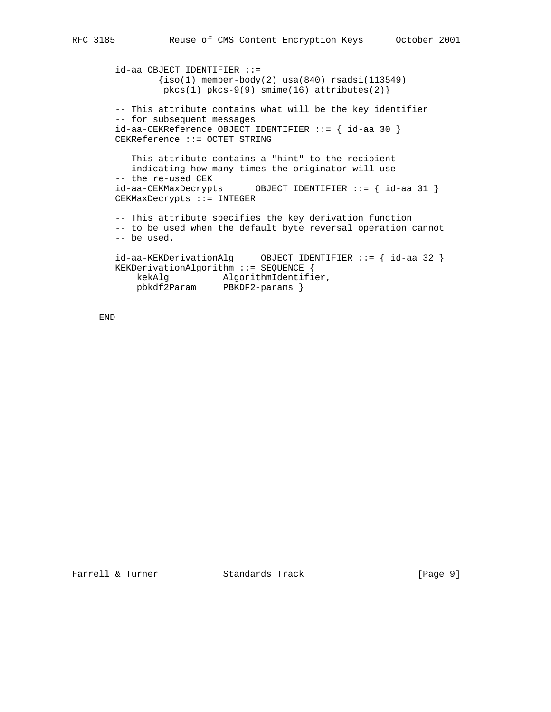id-aa OBJECT IDENTIFIER ::=  ${\text{iso}(1)}$  member-body(2) usa(840) rsadsi(113549)  $pkcs(1) pkcs-9(9) simine(16) attributes(2)$  -- This attribute contains what will be the key identifier -- for subsequent messages id-aa-CEKReference OBJECT IDENTIFIER ::= { id-aa 30 } CEKReference ::= OCTET STRING -- This attribute contains a "hint" to the recipient -- indicating how many times the originator will use -- the re-used CEK id-aa-CEKMaxDecrypts OBJECT IDENTIFIER ::= { id-aa 31 } CEKMaxDecrypts ::= INTEGER -- This attribute specifies the key derivation function -- to be used when the default byte reversal operation cannot -- be used. id-aa-KEKDerivationAlg OBJECT IDENTIFIER ::= { id-aa 32 } KEKDerivationAlgorithm ::= SEQUENCE { kekAlg AlgorithmIdentifier, pbkdf2Param PBKDF2-params }

END